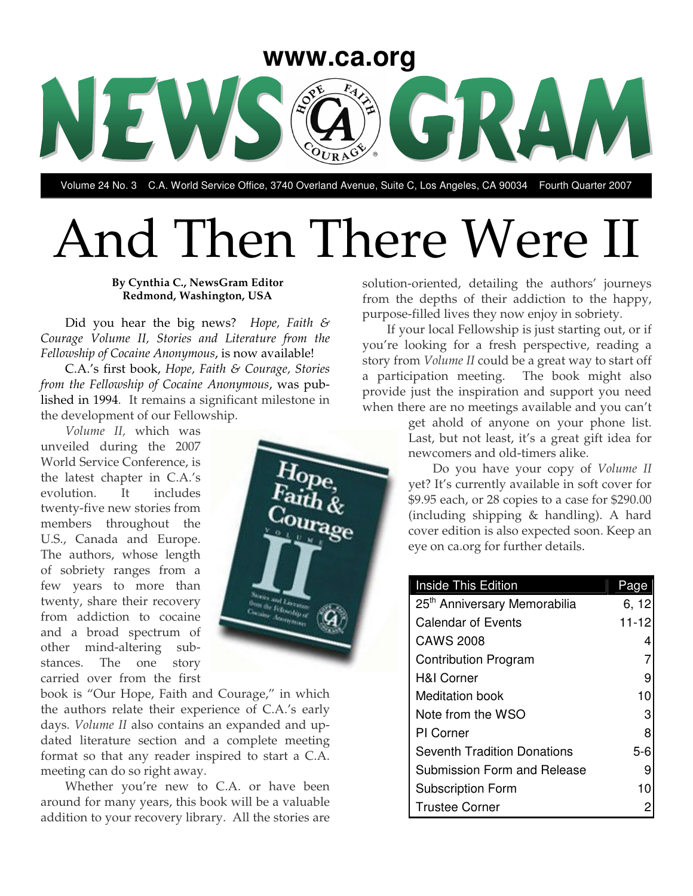

Volume 24 No. 3 C.A. World Service Office, 3740 Overland Avenue, Suite C, Los Angeles, CA 90034 Fourth Quarter 2007

# And Then There Were II

#### **By Cynthia C., NewsGram Editor Redmond, Washington, USA**

Did you hear the big news? *Hope, Faith & Courage Volume II, Stories and Literature from the Fellowship of Cocaine Anonymous*, is now available!

C.A.'s first book, *Hope, Faith & Courage, Stories from the Fellowship of Cocaine Anonymous*, was published in 1994. It remains a significant milestone in the development of our Fellowship.

*Volume II,* which was unveiled during the 2007 World Service Conference, is the latest chapter in C.A.'s evolution. It includes twenty-five new stories from members throughout the U.S., Canada and Europe. The authors, whose length of sobriety ranges from a few years to more than twenty, share their recovery from addiction to cocaine and a broad spectrum of other mind-altering substances. The one story carried over from the first



Whether you're new to C.A. or have been around for many years, this book will be a valuable addition to your recovery library. All the stories are

solution-oriented, detailing the authors' journeys from the depths of their addiction to the happy, purpose-filled lives they now enjoy in sobriety.

If your local Fellowship is just starting out, or if you're looking for a fresh perspective, reading a story from *Volume II* could be a great way to start off a participation meeting. The book might also provide just the inspiration and support you need when there are no meetings available and you can't

> get ahold of anyone on your phone list. Last, but not least, it's a great gift idea for newcomers and old-timers alike.

> Do you have your copy of *Volume II* yet? It's currently available in soft cover for \$9.95 each, or 28 copies to a case for \$290.00 (including shipping & handling). A hard cover edition is also expected soon. Keep an eye on ca.org for further details.

| <b>Inside This Edition</b>               | Page      |
|------------------------------------------|-----------|
| 25 <sup>th</sup> Anniversary Memorabilia | 6, 12     |
| <b>Calendar of Events</b>                | $11 - 12$ |
| <b>CAWS 2008</b>                         | 4         |
| <b>Contribution Program</b>              |           |
| <b>H&amp;I Corner</b>                    | 9         |
| <b>Meditation book</b>                   | 10        |
| Note from the WSO                        | 3         |
| PI Corner                                | 8         |
| <b>Seventh Tradition Donations</b>       | $5 - 6$   |
| Submission Form and Release              | 9         |
| <b>Subscription Form</b>                 | 10        |
| <b>Trustee Corner</b>                    | 2         |

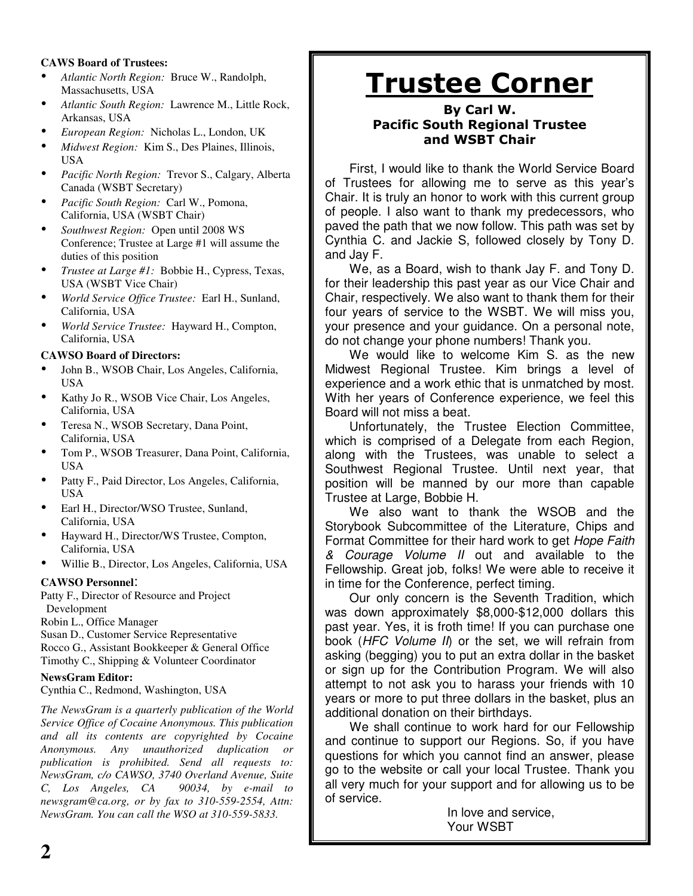#### **CAWS Board of Trustees:**

- *Atlantic North Region:* Bruce W., Randolph, Massachusetts, USA
- *Atlantic South Region:* Lawrence M., Little Rock, Arkansas, USA
- *European Region:* Nicholas L., London, UK
- *Midwest Region:* Kim S., Des Plaines, Illinois, USA
- *Pacific North Region:* Trevor S., Calgary, Alberta Canada (WSBT Secretary)
- *Pacific South Region:* Carl W., Pomona, California, USA (WSBT Chair)
- *Southwest Region:* Open until <sup>2008</sup> WS Conference; Trustee at Large #1 will assume the duties of this position
- *Trustee at Large #1:* Bobbie H., Cypress, Texas, USA (WSBT Vice Chair)
- *World Service Office Trustee:* Earl H., Sunland, California, USA
- *World Service Trustee:* Hayward H., Compton, California, USA

#### **CAWSO Board of Directors:**

- John B., WSOB Chair, Los Angeles, California, USA
- Kathy Jo R., WSOB Vice Chair, Los Angeles, California, USA
- Teresa N., WSOB Secretary, Dana Point, California, USA
- Tom P., WSOB Treasurer, Dana Point, California, USA
- Patty F., Paid Director, Los Angeles, California, USA
- Earl H., Director/WSO Trustee, Sunland, California, USA
- Hayward H., Director/WS Trustee, Compton, California, USA
- Willie B., Director, Los Angeles, California, USA

#### **CAWSO Personnel**:

Patty F., Director of Resource and Project Development

Robin L., Office Manager

Susan D., Customer Service Representative Rocco G., Assistant Bookkeeper & General Office Timothy C., Shipping & Volunteer Coordinator

#### **NewsGram Editor:**

Cynthia C., Redmond, Washington, USA

*The NewsGram is a quarterly publication of the World Service Office of Cocaine Anonymous. This publication and all its contents are copyrighted by Cocaine Anonymous. Any unauthorized duplication or publication is prohibited. Send all requests to: NewsGram, c/o CAWSO, 3740 Overland Avenue, Suite C, Los Angeles, CA 90034, by e-mail to newsgram@ca.org, or by fax to 310-559-2554, Attn: NewsGram. You can call the WSO at 310-559-5833.*

## <u>Trustee Corner</u>

#### By Carl W. **Pacific South Regional Trustee** and WSBT Chair

First, I would like to thank the World Service Board of Trustees for allowing me to serve as this year's Chair. It is truly an honor to work with this current group of people. I also want to thank my predecessors, who paved the path that we now follow. This path was set by Cynthia C. and Jackie S, followed closely by Tony D. and Jay F.

We, as a Board, wish to thank Jay F. and Tony D. for their leadership this past year as our Vice Chair and Chair, respectively. We also want to thank them for their four years of service to the WSBT. We will miss you, your presence and your guidance. On a personal note, do not change your phone numbers! Thank you.

We would like to welcome Kim S. as the new Midwest Regional Trustee. Kim brings a level of experience and a work ethic that is unmatched by most. With her years of Conference experience, we feel this Board will not miss a beat.

Unfortunately, the Trustee Election Committee, which is comprised of a Delegate from each Region, along with the Trustees, was unable to select a Southwest Regional Trustee. Until next year, that position will be manned by our more than capable Trustee at Large, Bobbie H.

We also want to thank the WSOB and the Storybook Subcommittee of the Literature, Chips and Format Committee for their hard work to get *Hope Faith & Courage Volume II* out and available to the Fellowship. Great job, folks! We were able to receive it in time for the Conference, perfect timing.

Our only concern is the Seventh Tradition, which was down approximately \$8,000-\$12,000 dollars this past year. Yes, it is froth time! If you can purchase one book (*HFC Volume II*) or the set, we will refrain from asking (begging) you to put an extra dollar in the basket or sign up for the Contribution Program. We will also attempt to not ask you to harass your friends with 10 years or more to put three dollars in the basket, plus an additional donation on their birthdays.

We shall continue to work hard for our Fellowship and continue to support our Regions. So, if you have questions for which you cannot find an answer, please go to the website or call your local Trustee. Thank you all very much for your support and for allowing us to be of service.

In love and service, Your WSBT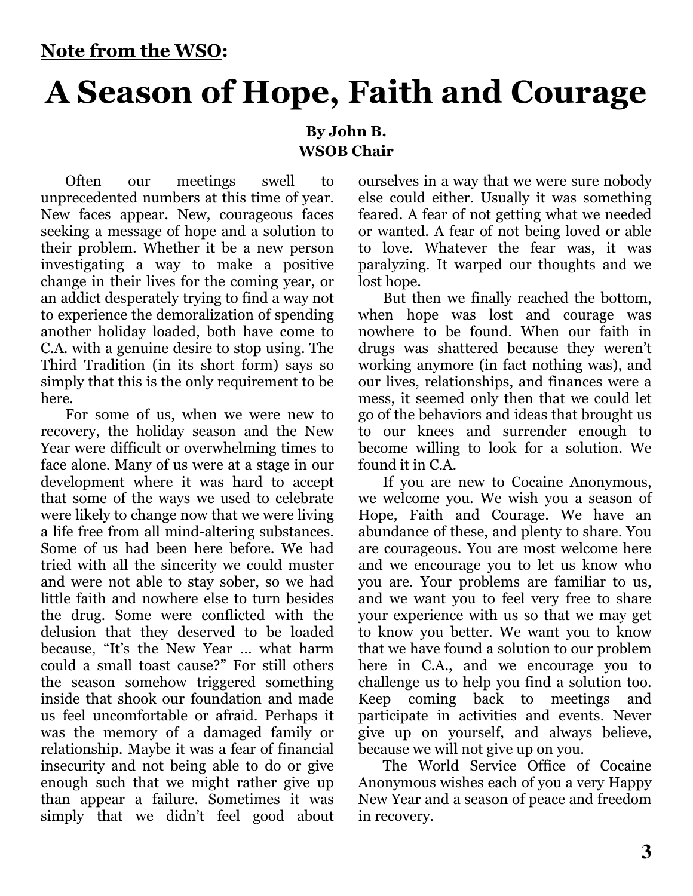## **A Season of Hope, Faith and Courage**

#### By John B. **WSOB Chair**

Often our meetings swell to unprecedented numbers at this time of year. New faces appear. New, courageous faces seeking a message of hope and a solution to their problem. Whether it be a new person investigating a way to make a positive change in their lives for the coming year, or an addict desperately trying to find a way not to experience the demoralization of spending another holiday loaded, both have come to C.A. with a genuine desire to stop using. The Third Tradition (in its short form) says so simply that this is the only requirement to be here.

For some of us, when we were new to recovery, the holiday season and the New Year were difficult or overwhelming times to face alone. Many of us were at a stage in our development where it was hard to accept that some of the ways we used to celebrate were likely to change now that we were living a life free from all mind-altering substances. Some of us had been here before. We had tried with all the sincerity we could muster and were not able to stay sober, so we had little faith and nowhere else to turn besides the drug. Some were conflicted with the delusion that they deserved to be loaded because, "It's the New Year ... what harm could a small toast cause?" For still others the season somehow triggered something inside that shook our foundation and made us feel uncomfortable or afraid. Perhaps it was the memory of a damaged family or relationship. Maybe it was a fear of financial insecurity and not being able to do or give enough such that we might rather give up than appear a failure. Sometimes it was simply that we didn't feel good about

ourselves in a way that we were sure nobody else could either. Usually it was something feared. A fear of not getting what we needed or wanted. A fear of not being loved or able to love. Whatever the fear was, it was paralyzing. It warped our thoughts and we lost hope.

But then we finally reached the bottom, when hope was lost and courage was nowhere to be found. When our faith in drugs was shattered because they weren't working anymore (in fact nothing was), and our lives, relationships, and finances were a mess, it seemed only then that we could let go of the behaviors and ideas that brought us to our knees and surrender enough to become willing to look for a solution. We found it in C.A.

If you are new to Cocaine Anonymous, we welcome you. We wish you a season of Hope, Faith and Courage. We have an abundance of these, and plenty to share. You are courageous. You are most welcome here and we encourage you to let us know who you are. Your problems are familiar to us, and we want you to feel very free to share your experience with us so that we may get to know you better. We want you to know that we have found a solution to our problem here in C.A., and we encourage you to challenge us to help you find a solution too. Keep coming back to meetings and participate in activities and events. Never give up on yourself, and always believe, because we will not give up on you.

The World Service Office of Cocaine Anonymous wishes each of you a very Happy New Year and a season of peace and freedom in recovery.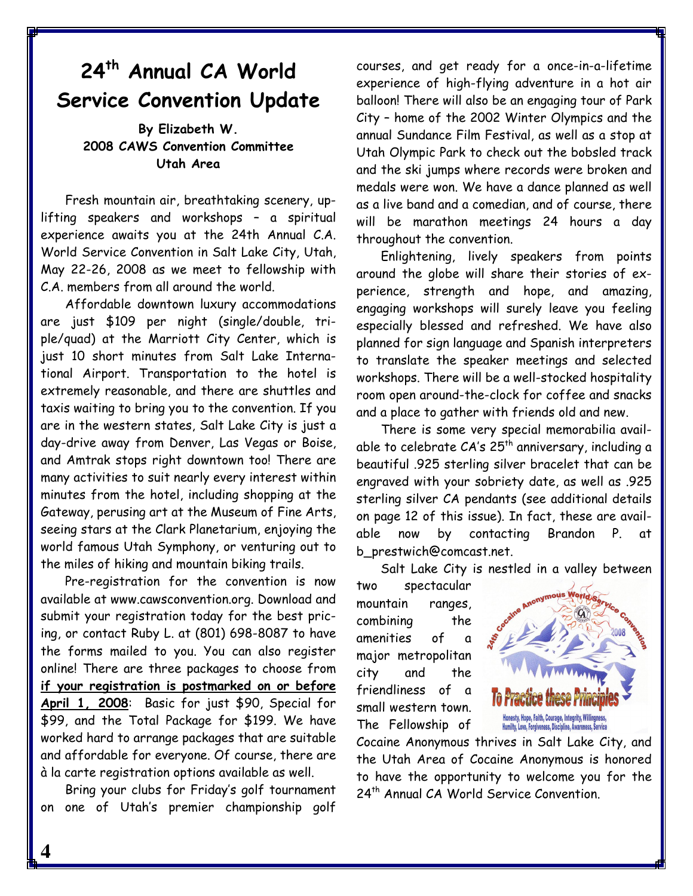### 24<sup>th</sup> Annual CA World **Service Convention Update**

By Elizabeth W. 2008 CAWS Convention Committee Utah Area

Fresh mountain air, breathtaking scenery, uplifting speakers and workshops - a spiritual experience awaits you at the 24th Annual C.A. World Service Convention in Salt Lake City, Utah, May 22-26, 2008 as we meet to fellowship with C.A. members from all around the world.

Affordable downtown luxury accommodations are just \$109 per night (single/double, triple/quad) at the Marriott City Center, which is just 10 short minutes from Salt Lake International Airport. Transportation to the hotel is extremely reasonable, and there are shuttles and taxis waiting to bring you to the convention. If you are in the western states, Salt Lake City is just a day-drive away from Denver, Las Vegas or Boise, and Amtrak stops right downtown too! There are many activities to suit nearly every interest within minutes from the hotel, including shopping at the Gateway, perusing art at the Museum of Fine Arts, seeing stars at the Clark Planetarium, enjoying the world famous Utah Symphony, or venturing out to the miles of hiking and mountain biking trails.

Pre-registration for the convention is now available at www.cawsconvention.org. Download and submit your registration today for the best pricing, or contact Ruby L. at (801) 698-8087 to have the forms mailed to you. You can also register online! There are three packages to choose from if your registration is postmarked on or before April 1, 2008: Basic for just \$90, Special for \$99, and the Total Package for \$199. We have worked hard to arrange packages that are suitable and affordable for everyone. Of course, there are à la carte registration options available as well.

Bring your clubs for Friday's golf tournament on one of Utah's premier championship golf

courses, and get ready for a once-in-a-lifetime experience of high-flying adventure in a hot air balloon! There will also be an engaging tour of Park City - home of the 2002 Winter Olympics and the annual Sundance Film Festival, as well as a stop at Utah Olympic Park to check out the bobsled track and the ski jumps where records were broken and medals were won. We have a dance planned as well as a live band and a comedian, and of course, there will be marathon meetings 24 hours a day throughout the convention.

Enlightening, lively speakers from points around the globe will share their stories of experience, strength and hope, and amazing, engaging workshops will surely leave you feeling especially blessed and refreshed. We have also planned for sign language and Spanish interpreters to translate the speaker meetings and selected workshops. There will be a well-stocked hospitality room open around-the-clock for coffee and snacks and a place to gather with friends old and new.

There is some very special memorabilia available to celebrate CA's 25<sup>th</sup> anniversary, including a beautiful .925 sterling silver bracelet that can be engraved with your sobriety date, as well as .925 sterling silver CA pendants (see additional details on page 12 of this issue). In fact, these are available now by contacting Brandon P. αt b\_prestwich@comcast.net.

Salt Lake City is nestled in a valley between

spectacular two mountain ranges, combining the of amenities  $\mathbf{a}$ major metropolitan city the and friendliness of a small western town. The Fellowship of



Cocaine Anonymous thrives in Salt Lake City, and the Utah Area of Cocaine Anonymous is honored to have the opportunity to welcome you for the 24<sup>th</sup> Annual CA World Service Convention.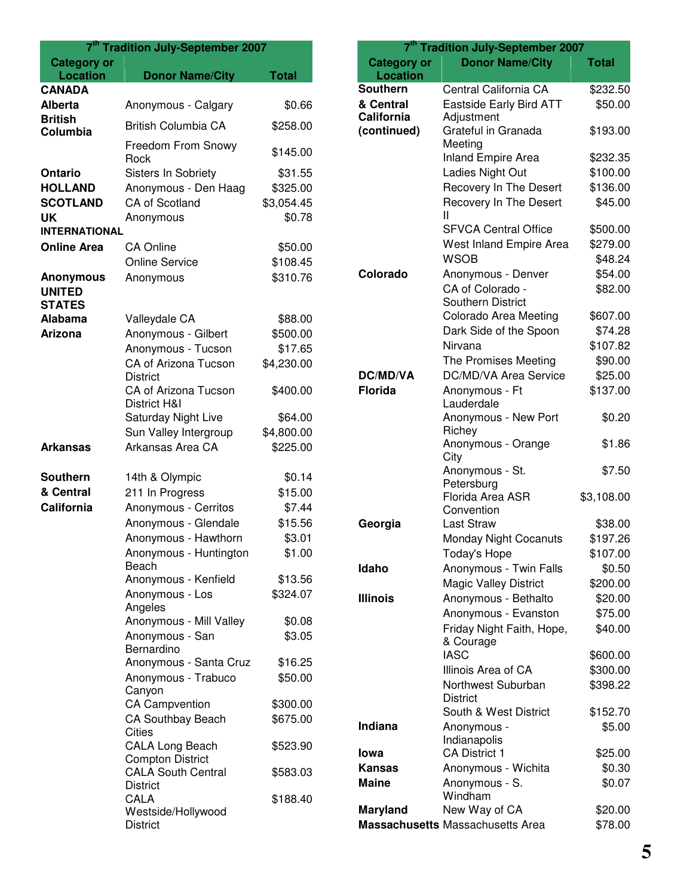| 7 <sup>th</sup> Tradition July-September 2007 |                                                                  |              |
|-----------------------------------------------|------------------------------------------------------------------|--------------|
| <b>Category or</b><br><b>Location</b>         | <b>Donor Name/City</b>                                           | <b>Total</b> |
| <b>CANADA</b>                                 |                                                                  |              |
| <b>Alberta</b>                                | Anonymous - Calgary                                              | \$0.66       |
| <b>British</b>                                | <b>British Columbia CA</b>                                       | \$258.00     |
| Columbia                                      |                                                                  |              |
|                                               | Freedom From Snowy<br>Rock                                       | \$145.00     |
| Ontario                                       | Sisters In Sobriety                                              | \$31.55      |
| <b>HOLLAND</b>                                | Anonymous - Den Haag                                             | \$325.00     |
| <b>SCOTLAND</b>                               | <b>CA of Scotland</b>                                            | \$3,054.45   |
| <b>UK</b>                                     | Anonymous                                                        | \$0.78       |
| <b>INTERNATIONAL</b>                          |                                                                  |              |
| <b>Online Area</b>                            | <b>CA Online</b>                                                 | \$50.00      |
|                                               | <b>Online Service</b>                                            | \$108.45     |
| <b>Anonymous</b><br><b>UNITED</b>             | Anonymous                                                        | \$310.76     |
| <b>STATES</b><br>Alabama                      |                                                                  | \$88.00      |
| <b>Arizona</b>                                | Valleydale CA<br>Anonymous - Gilbert                             | \$500.00     |
|                                               | Anonymous - Tucson                                               | \$17.65      |
|                                               | CA of Arizona Tucson                                             | \$4,230.00   |
|                                               | <b>District</b>                                                  |              |
|                                               | CA of Arizona Tucson<br>District H&I                             | \$400.00     |
|                                               | Saturday Night Live                                              | \$64.00      |
|                                               | Sun Valley Intergroup                                            | \$4,800.00   |
| <b>Arkansas</b>                               | Arkansas Area CA                                                 | \$225.00     |
| <b>Southern</b>                               | 14th & Olympic                                                   | \$0.14       |
| & Central                                     | 211 In Progress                                                  | \$15.00      |
| California                                    | Anonymous - Cerritos                                             | \$7.44       |
|                                               | Anonymous - Glendale                                             | \$15.56      |
|                                               | Anonymous - Hawthorn                                             | \$3.01       |
|                                               | Anonymous - Huntington<br>Beach                                  | \$1.00       |
|                                               | Anonymous - Kenfield                                             | \$13.56      |
|                                               | Anonymous - Los<br>Angeles                                       | \$324.07     |
|                                               | Anonymous - Mill Valley                                          | \$0.08       |
|                                               | Anonymous - San<br>Bernardino                                    | \$3.05       |
|                                               | Anonymous - Santa Cruz                                           | \$16.25      |
|                                               | Anonymous - Trabuco<br>Canyon                                    | \$50.00      |
|                                               | <b>CA Campvention</b>                                            | \$300.00     |
|                                               | CA Southbay Beach<br><b>Cities</b>                               | \$675.00     |
|                                               | <b>CALA Long Beach</b><br><b>Compton District</b>                | \$523.90     |
|                                               | <b>CALA South Central</b>                                        | \$583.03     |
|                                               | <b>District</b><br>CALA<br>Westside/Hollywood<br><b>District</b> | \$188.40     |

| 7 <sup>th</sup> Tradition July-September 2007 |                                      |                   |
|-----------------------------------------------|--------------------------------------|-------------------|
| <b>Category or</b>                            | <b>Donor Name/City</b>               | Total             |
| <b>Location</b>                               |                                      |                   |
| <b>Southern</b>                               | Central California CA                | \$232.50          |
| & Central                                     | <b>Eastside Early Bird ATT</b>       | \$50.00           |
| California                                    | Adjustment                           |                   |
| (continued)                                   | Grateful in Granada<br>Meeting       | \$193.00          |
|                                               | <b>Inland Empire Area</b>            | \$232.35          |
|                                               | Ladies Night Out                     | \$100.00          |
|                                               | Recovery In The Desert               | \$136.00          |
|                                               | Recovery In The Desert               | \$45.00           |
|                                               | Ш                                    |                   |
|                                               | <b>SFVCA Central Office</b>          | \$500.00          |
|                                               | West Inland Empire Area              | \$279.00          |
|                                               | <b>WSOB</b>                          | \$48.24           |
| Colorado                                      | Anonymous - Denver                   | \$54.00           |
|                                               | CA of Colorado -                     | \$82.00           |
|                                               | <b>Southern District</b>             |                   |
|                                               | Colorado Area Meeting                | \$607.00          |
|                                               | Dark Side of the Spoon               | \$74.28           |
|                                               | Nirvana                              | \$107.82          |
|                                               | The Promises Meeting                 | \$90.00           |
| <b>DC/MD/VA</b>                               | DC/MD/VA Area Service                | \$25.00           |
| <b>Florida</b>                                | Anonymous - Ft                       | \$137.00          |
|                                               | Lauderdale<br>Anonymous - New Port   | \$0.20            |
|                                               | Richey                               |                   |
|                                               | Anonymous - Orange                   | \$1.86            |
|                                               | City                                 |                   |
|                                               | Anonymous - St.                      | \$7.50            |
|                                               | Petersburg                           |                   |
|                                               | Florida Area ASR                     | \$3,108.00        |
| Georgia                                       | Convention<br><b>Last Straw</b>      | \$38.00           |
|                                               | Monday Night Cocanuts                | \$197.26          |
|                                               | Today's Hope                         | \$107.00          |
| Idaho                                         | Anonymous - Twin Falls               | \$0.50            |
|                                               | <b>Magic Valley District</b>         | \$200.00          |
| <b>Illinois</b>                               | Anonymous - Bethalto                 | \$20.00           |
|                                               | Anonymous - Evanston                 | \$75.00           |
|                                               | Friday Night Faith, Hope,            | \$40.00           |
|                                               | & Courage                            |                   |
|                                               | <b>IASC</b>                          | \$600.00          |
|                                               | Illinois Area of CA                  | \$300.00          |
|                                               | Northwest Suburban                   | \$398.22          |
|                                               | <b>District</b>                      |                   |
|                                               | South & West District                | \$152.70          |
| <b>Indiana</b>                                | Anonymous -                          | \$5.00            |
| lowa                                          | Indianapolis<br><b>CA District 1</b> |                   |
| Kansas                                        | Anonymous - Wichita                  | \$25.00<br>\$0.30 |
| <b>Maine</b>                                  |                                      | \$0.07            |
|                                               | Anonymous - S.<br>Windham            |                   |
| <b>Maryland</b>                               | New Way of CA                        | \$20.00           |
|                                               |                                      |                   |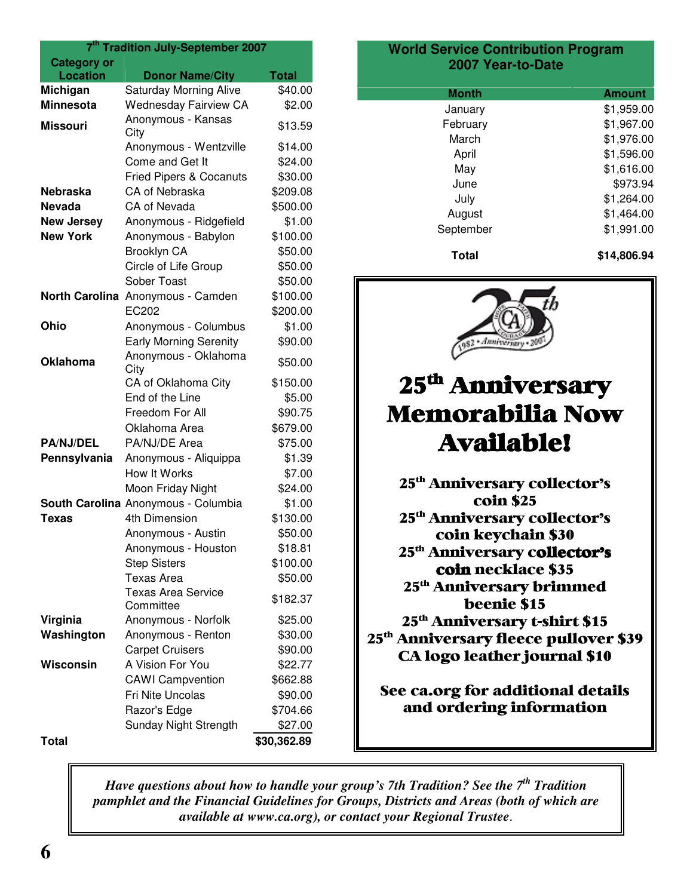| 7 <sup>th</sup> Tradition July-September 2007 |                                        |              |
|-----------------------------------------------|----------------------------------------|--------------|
| <b>Category or</b>                            |                                        |              |
| <b>Location</b>                               | <b>Donor Name/City</b>                 | <b>Total</b> |
| Michigan                                      | <b>Saturday Morning Alive</b>          | \$40.00      |
| <b>Minnesota</b>                              | <b>Wednesday Fairview CA</b>           | \$2.00       |
| Missouri                                      | Anonymous - Kansas<br>City             | \$13.59      |
|                                               | Anonymous - Wentzville                 | \$14.00      |
|                                               | Come and Get It                        | \$24.00      |
|                                               | <b>Fried Pipers &amp; Cocanuts</b>     | \$30.00      |
| <b>Nebraska</b>                               | CA of Nebraska                         | \$209.08     |
| <b>Nevada</b>                                 | CA of Nevada                           | \$500.00     |
| <b>New Jersey</b>                             | Anonymous - Ridgefield                 | \$1.00       |
| <b>New York</b>                               | Anonymous - Babylon                    | \$100.00     |
|                                               | Brooklyn CA                            | \$50.00      |
|                                               | Circle of Life Group                   | \$50.00      |
|                                               | Sober Toast                            | \$50.00      |
| <b>North Carolina</b>                         | Anonymous - Camden                     | \$100.00     |
|                                               | EC202                                  | \$200.00     |
| Ohio                                          | Anonymous - Columbus                   | \$1.00       |
|                                               | <b>Early Morning Serenity</b>          | \$90.00      |
| <b>Oklahoma</b>                               | Anonymous - Oklahoma<br>City           | \$50.00      |
|                                               | CA of Oklahoma City                    | \$150.00     |
|                                               | End of the Line                        | \$5.00       |
|                                               | Freedom For All                        | \$90.75      |
|                                               | Oklahoma Area                          | \$679.00     |
| <b>PA/NJ/DEL</b>                              | PA/NJ/DE Area                          | \$75.00      |
| Pennsylvania                                  | Anonymous - Aliquippa                  | \$1.39       |
|                                               | How It Works                           | \$7.00       |
|                                               | Moon Friday Night                      | \$24.00      |
|                                               | South Carolina Anonymous - Columbia    | \$1.00       |
| Texas                                         | 4th Dimension                          | \$130.00     |
|                                               | Anonymous - Austin                     | \$50.00      |
|                                               | Anonymous - Houston                    | \$18.81      |
|                                               | <b>Step Sisters</b>                    | \$100.00     |
|                                               | <b>Texas Area</b>                      | \$50.00      |
|                                               | <b>Texas Area Service</b><br>Committee | \$182.37     |
| Virginia                                      | Anonymous - Norfolk                    | \$25.00      |
| Washington                                    | Anonymous - Renton                     | \$30.00      |
|                                               | <b>Carpet Cruisers</b>                 | \$90.00      |
| <b>Wisconsin</b>                              | A Vision For You                       | \$22.77      |
|                                               | <b>CAWI</b> Campvention                | \$662.88     |
|                                               | Fri Nite Uncolas                       | \$90.00      |
|                                               | Razor's Edge                           | \$704.66     |
|                                               | Sunday Night Strength                  | \$27.00      |
|                                               |                                        |              |
| <b>Total</b>                                  |                                        | \$30,362.89  |

#### **World Service Contribution Program 2007 Year-to-Date**

| Month     | <b>Amount</b> |
|-----------|---------------|
| January   | \$1,959.00    |
| February  | \$1,967.00    |
| March     | \$1,976.00    |
| April     | \$1,596.00    |
| May       | \$1,616.00    |
| June      | \$973.94      |
| July      | \$1,264.00    |
| August    | \$1,464.00    |
| September | \$1,991.00    |
|           |               |

**Total \$14,806.94**



### 25<sup>th</sup> Anniversary Memorabilia Now **Available!**

25<sup>th</sup> Anniversary collector's coin \$25 25<sup>th</sup> Anniversary collector's coin keychain \$30 25<sup>th</sup> Anniversary c**ollector's coin** necklace \$35 25<sup>th</sup> Anniversary brimmed beenie \$15 25<sup>th</sup> Anniversary t-shirt \$15 25<sup>th</sup> Anniversary fleece pullover \$39 CA logo leather journal \$10

See ca.org for additional details and ordering information

*Have questions about how to handle your group's 7th Tradition? See the 7 th Tradition pamphlet and the Financial Guidelines for Groups, Districts and Areas (both of which are available at www.ca.org), or contact your Regional Trustee*.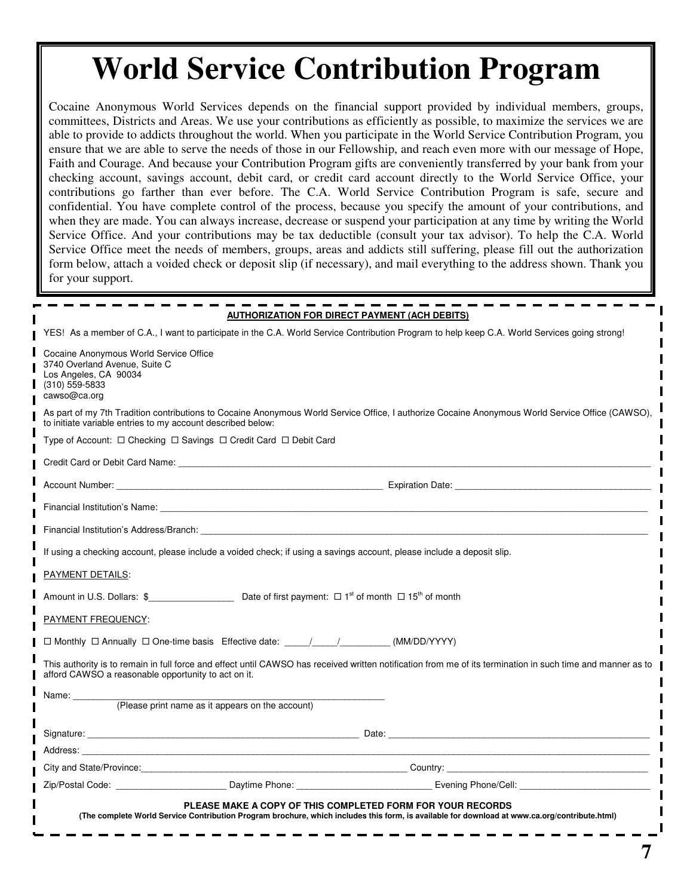## **World Service Contribution Program**

Cocaine Anonymous World Services depends on the financial support provided by individual members, groups, committees, Districts and Areas. We use your contributions as efficiently as possible, to maximize the services we are able to provide to addicts throughout the world. When you participate in the World Service Contribution Program, you ensure that we are able to serve the needs of those in our Fellowship, and reach even more with our message of Hope, Faith and Courage. And because your Contribution Program gifts are conveniently transferred by your bank from your checking account, savings account, debit card, or credit card account directly to the World Service Office, your contributions go farther than ever before. The C.A. World Service Contribution Program is safe, secure and confidential. You have complete control of the process, because you specify the amount of your contributions, and when they are made. You can always increase, decrease or suspend your participation at any time by writing the World Service Office. And your contributions may be tax deductible (consult your tax advisor). To help the C.A. World Service Office meet the needs of members, groups, areas and addicts still suffering, please fill out the authorization form below, attach a voided check or deposit slip (if necessary), and mail everything to the address shown. Thank you for your support.

| <b>AUTHORIZATION FOR DIRECT PAYMENT (ACH DEBITS)</b>                                                                                                                                                                          |  |  |
|-------------------------------------------------------------------------------------------------------------------------------------------------------------------------------------------------------------------------------|--|--|
| YES! As a member of C.A., I want to participate in the C.A. World Service Contribution Program to help keep C.A. World Services going strong!                                                                                 |  |  |
| Cocaine Anonymous World Service Office<br>3740 Overland Avenue, Suite C<br>Los Angeles, CA 90034<br>$(310)$ 559-5833<br>cawso@ca.org                                                                                          |  |  |
| As part of my 7th Tradition contributions to Cocaine Anonymous World Service Office, I authorize Cocaine Anonymous World Service Office (CAWSO),<br>to initiate variable entries to my account described below:               |  |  |
| Type of Account: $\Box$ Checking $\Box$ Savings $\Box$ Credit Card $\Box$ Debit Card                                                                                                                                          |  |  |
|                                                                                                                                                                                                                               |  |  |
|                                                                                                                                                                                                                               |  |  |
| Financial Institution's Name: The Contract of the Contract of the Contract of the Contract of the Contract of the Contract of the Contract of the Contract of the Contract of the Contract of the Contract of the Contract of |  |  |
|                                                                                                                                                                                                                               |  |  |
| If using a checking account, please include a voided check; if using a savings account, please include a deposit slip.                                                                                                        |  |  |
| <b>PAYMENT DETAILS:</b>                                                                                                                                                                                                       |  |  |
| Amount in U.S. Dollars: $\oint$ Date of first payment: $\Box$ 1 <sup>st</sup> of month $\Box$ 15 <sup>th</sup> of month                                                                                                       |  |  |
| PAYMENT FREQUENCY:                                                                                                                                                                                                            |  |  |
| □ Monthly □ Annually □ One-time basis Effective date: _____/________________(MM/DD/YYYY)                                                                                                                                      |  |  |
| This authority is to remain in full force and effect until CAWSO has received written notification from me of its termination in such time and manner as to<br>afford CAWSO a reasonable opportunity to act on it.            |  |  |
| Name: _________                                                                                                                                                                                                               |  |  |
| (Please print name as it appears on the account)                                                                                                                                                                              |  |  |
|                                                                                                                                                                                                                               |  |  |
|                                                                                                                                                                                                                               |  |  |
|                                                                                                                                                                                                                               |  |  |
| Zip/Postal Code: Communication Contract Daytime Phone: Communication Communication Communication Communication                                                                                                                |  |  |
| PLEASE MAKE A COPY OF THIS COMPLETED FORM FOR YOUR RECORDS<br>(The complete World Service Contribution Program brochure, which includes this form, is available for download at www.ca.org/contribute.html)                   |  |  |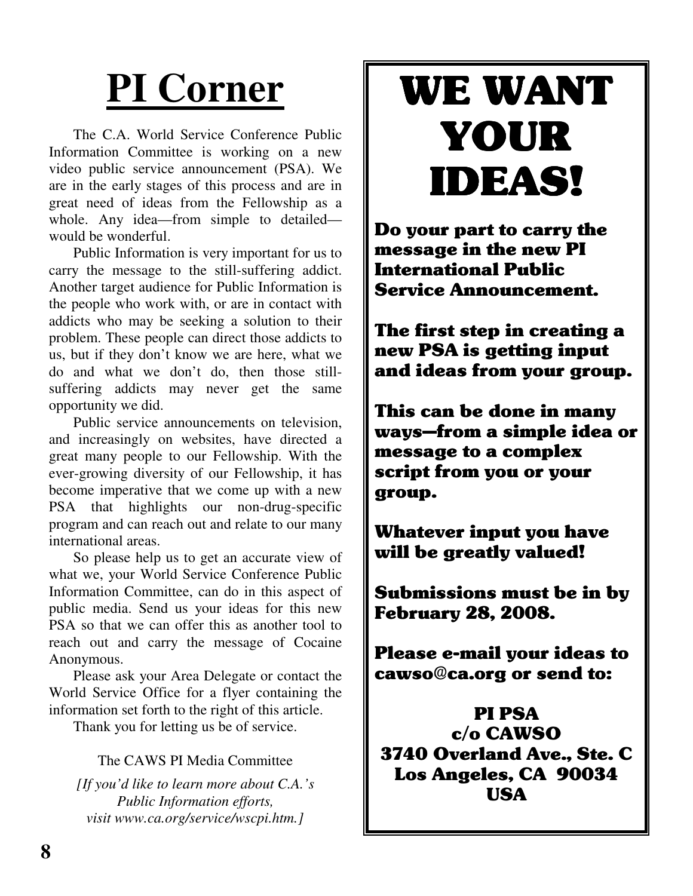# **PI Corner**

The C.A. World Service Conference Public Information Committee is working on a new video public service announcement (PSA). We are in the early stages of this process and are in great need of ideas from the Fellowship as a whole. Any idea—from simple to detailed would be wonderful.

Public Information is very important for us to carry the message to the still-suffering addict. Another target audience for Public Information is the people who work with, or are in contact with addicts who may be seeking a solution to their problem. These people can direct those addicts to us, but if they don't know we are here, what we do and what we don't do, then those stillsuffering addicts may never get the same opportunity we did.

Public service announcements on television, and increasingly on websites, have directed a great many people to our Fellowship. With the ever-growing diversity of our Fellowship, it has become imperative that we come up with a new PSA that highlights our non-drug-specific program and can reach out and relate to our many international areas.

So please help us to get an accurate view of what we, your World Service Conference Public Information Committee, can do in this aspect of public media. Send us your ideas for this new PSA so that we can offer this as another tool to reach out and carry the message of Cocaine Anonymous.

Please ask your Area Delegate or contact the World Service Office for a flyer containing the information set forth to the right of this article.

Thank you for letting us be of service.

#### The CAWS PI Media Committee

*[If you'd like to learn more about C.A.'s Public Information efforts, visit www.ca.org/service/wscpi.htm.]*

# WE WANT YOUR **IDEAS!**

Do your part to carry the message in the new PI **International Public Service Announcement.** 

The first step in creating a new PSA is getting input and ideas from your group.

This can be done in many ways-from a simple idea or message to a complex script from you or your group.

**Whatever input you have** will be greatly valued!

Submissions must be in by **February 28, 2008.** 

Please e-mail your ideas to cawso@ca.org or send to:

**PI PSA**  $c/o$  CAWSO 3740 Overland Ave., Ste. C Los Angeles, CA 90034 **USA**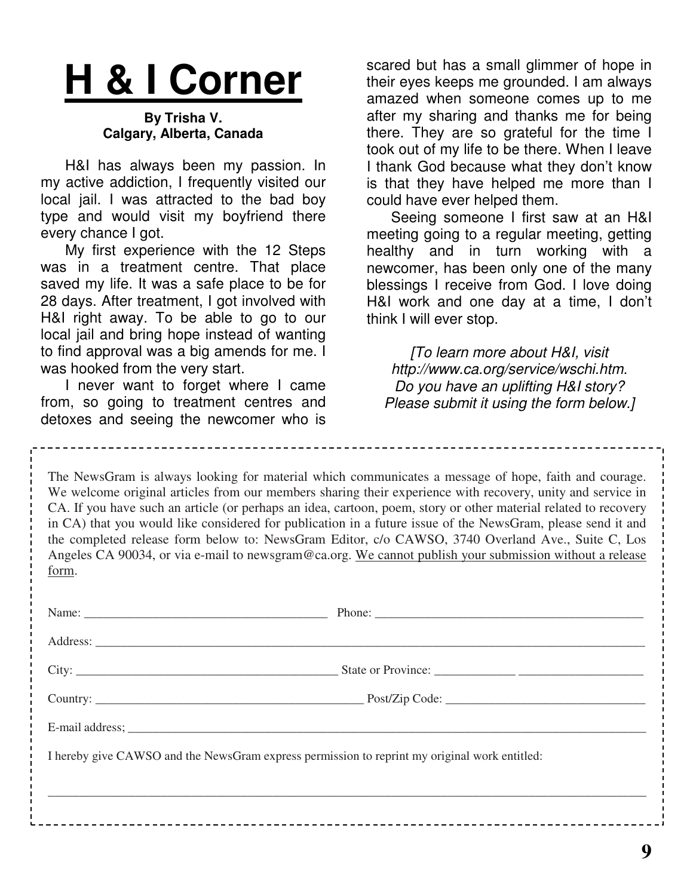# **H & I Corner**

#### **By Trisha V. Calgary, Alberta, Canada**

H&I has always been my passion. In my active addiction, I frequently visited our local jail. I was attracted to the bad boy type and would visit my boyfriend there every chance I got.

My first experience with the 12 Steps was in a treatment centre. That place saved my life. It was a safe place to be for 28 days. After treatment, I got involved with H&I right away. To be able to go to our local jail and bring hope instead of wanting to find approval was a big amends for me. I was hooked from the very start.

I never want to forget where I came from, so going to treatment centres and detoxes and seeing the newcomer who is

scared but has a small glimmer of hope in their eyes keeps me grounded. I am always amazed when someone comes up to me after my sharing and thanks me for being there. They are so grateful for the time I took out of my life to be there. When I leave I thank God because what they don't know is that they have helped me more than I could have ever helped them.

Seeing someone I first saw at an H&I meeting going to a regular meeting, getting healthy and in turn working with a newcomer, has been only one of the many blessings I receive from God. I love doing H&I work and one day at a time, I don't think I will ever stop.

*[To learn more about H&I, visit http://www.ca.org/service/wschi.htm. Do you have an uplifting H&I story? Please submit it using the form below.]*

The NewsGram is always looking for material which communicates a message of hope, faith and courage. We welcome original articles from our members sharing their experience with recovery, unity and service in CA. If you have such an article (or perhaps an idea, cartoon, poem, story or other material related to recovery in CA) that you would like considered for publication in a future issue of the NewsGram, please send it and the completed release form below to: NewsGram Editor, c/o CAWSO, 3740 Overland Ave., Suite C, Los Angeles CA 90034, or via e-mail to newsgram@ca.org. We cannot publish your submission without a release form.

| I hereby give CAWSO and the NewsGram express permission to reprint my original work entitled: |
|-----------------------------------------------------------------------------------------------|
|                                                                                               |
|                                                                                               |
|                                                                                               |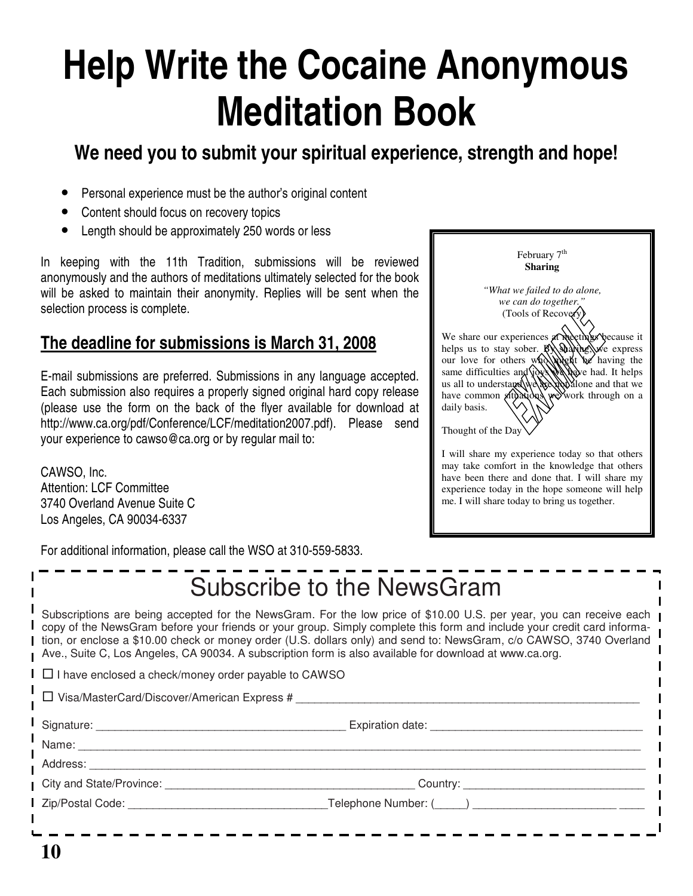# **Help Write the Cocaine Anonymous Meditation Book**

### **We need you to submit your spiritual experience, strength and hope!**

- Personal experience must be the author's original content
- Content should focus on recovery topics
- Length should be approximately 250 words or less

In keeping with the 11th Tradition, submissions will be reviewed anonymously and the authors of meditations ultimately selected for the book will be asked to maintain their anonymity. Replies will be sent when the selection process is complete.

#### **The deadline for submissions is March 31, 2008**

E-mail submissions are preferred. Submissions in any language accepted. Each submission also requires a properly signed original hard copy release (please use the form on the back of the flyer available for download at http://www.ca.org/pdf/Conference/LCF/meditation2007.pdf). Please send your experience to cawso@ca.org or by regular mail to:

CAWSO, Inc. Attention: LCF Committee 3740 Overland Avenue Suite C Los Angeles, CA 90034-6337

| February 7 <sup>th</sup><br>Sharing                                                                                                                                                                                                                                                                                                                                                                  |  |
|------------------------------------------------------------------------------------------------------------------------------------------------------------------------------------------------------------------------------------------------------------------------------------------------------------------------------------------------------------------------------------------------------|--|
| "What we failed to do alone,<br>we can do together."<br>(Tools of Recover)<br>We share our experiences at meetings because it<br>helps us to stay sober. By adving we express<br>our love for others who will be having the<br>same difficulties and joys<br>Neve had. It helps<br>us all to understage we<br>podalone and that we<br>have common situations<br>we work through on a<br>daily basis. |  |
| Thought of the Day<br>I will share my experience today so that others                                                                                                                                                                                                                                                                                                                                |  |

may take comfort in the knowledge that others have been there and done that. I will share my experience today in the hope someone will help me. I will share today to bring us together.

For additional information, please call the WSO at 310-559-5833.

|                                                             | Subscribe to the NewsGram                                                                                                                                                                                                                                                                                                                                                                                                                                                        |
|-------------------------------------------------------------|----------------------------------------------------------------------------------------------------------------------------------------------------------------------------------------------------------------------------------------------------------------------------------------------------------------------------------------------------------------------------------------------------------------------------------------------------------------------------------|
|                                                             | Subscriptions are being accepted for the NewsGram. For the low price of \$10.00 U.S. per year, you can receive each<br>copy of the NewsGram before your friends or your group. Simply complete this form and include your credit card informa-<br>tion, or enclose a \$10.00 check or money order (U.S. dollars only) and send to: NewsGram, c/o CAWSO, 3740 Overland<br>Ave., Suite C, Los Angeles, CA 90034. A subscription form is also available for download at www.ca.org. |
| $\Box$ I have enclosed a check/money order payable to CAWSO |                                                                                                                                                                                                                                                                                                                                                                                                                                                                                  |
| $\Box$ Visa/MasterCard/Discover/American Express #          |                                                                                                                                                                                                                                                                                                                                                                                                                                                                                  |
|                                                             |                                                                                                                                                                                                                                                                                                                                                                                                                                                                                  |
|                                                             |                                                                                                                                                                                                                                                                                                                                                                                                                                                                                  |
|                                                             |                                                                                                                                                                                                                                                                                                                                                                                                                                                                                  |
|                                                             |                                                                                                                                                                                                                                                                                                                                                                                                                                                                                  |
|                                                             |                                                                                                                                                                                                                                                                                                                                                                                                                                                                                  |
|                                                             |                                                                                                                                                                                                                                                                                                                                                                                                                                                                                  |
|                                                             |                                                                                                                                                                                                                                                                                                                                                                                                                                                                                  |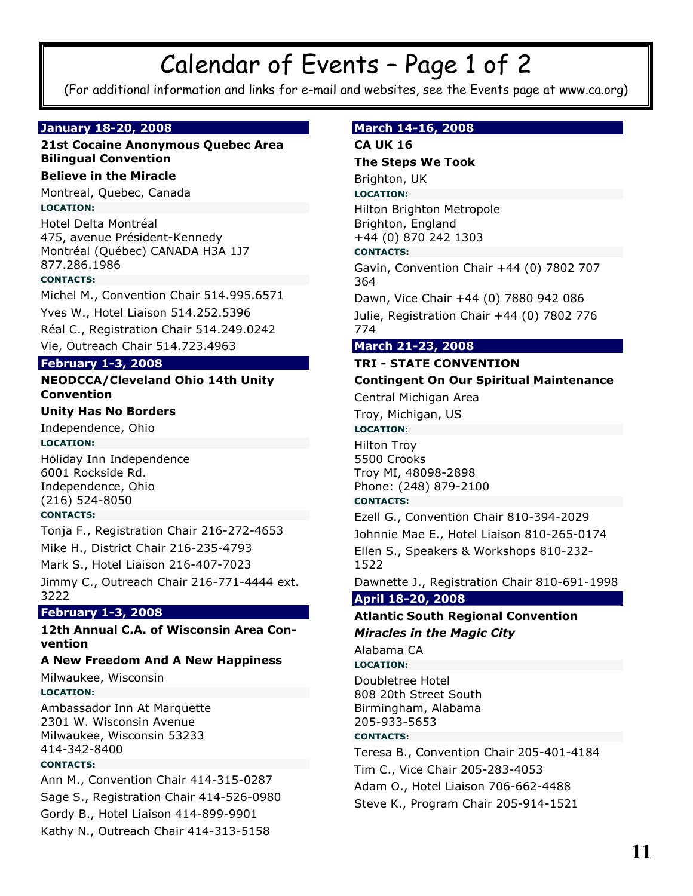## Calendar of Events - Page 1 of 2

(For additional information and links for e-mail and websites, see the Events page at www.ca.org)

#### January 18-20, 2008

#### 21st Cocaine Anonymous Quebec Area **Bilingual Convention**

#### **Believe in the Miracle**

Montreal, Quebec, Canada **LOCATION:** 

Hotel Delta Montréal 475, avenue Président-Kennedy Montréal (Québec) CANADA H3A 1J7 877.286.1986

#### **CONTACTS:**

Michel M., Convention Chair 514.995.6571 Yves W., Hotel Liaison 514.252.5396 Réal C., Registration Chair 514.249.0242 Vie, Outreach Chair 514.723.4963

#### **February 1-3, 2008**

#### **NEODCCA/Cleveland Ohio 14th Unity Convention**

#### **Unity Has No Borders**

Independence, Ohio

#### **LOCATION:**

Holiday Inn Independence 6001 Rockside Rd. Independence, Ohio (216) 524-8050

#### **CONTACTS:**

Tonja F., Registration Chair 216-272-4653

Mike H., District Chair 216-235-4793

Mark S., Hotel Liaison 216-407-7023

Jimmy C., Outreach Chair 216-771-4444 ext. 3222

#### **February 1-3, 2008**

#### 12th Annual C.A. of Wisconsin Area Convention

#### A New Freedom And A New Happiness

Milwaukee, Wisconsin

#### **LOCATION:**

Ambassador Inn At Marquette 2301 W. Wisconsin Avenue Milwaukee, Wisconsin 53233 414-342-8400

#### **CONTACTS:**

Ann M., Convention Chair 414-315-0287 Sage S., Registration Chair 414-526-0980 Gordy B., Hotel Liaison 414-899-9901 Kathy N., Outreach Chair 414-313-5158

#### March 14-16, 2008

#### **CA UK 16**

#### **The Steps We Took**

Brighton, UK

#### **LOCATION:**

Hilton Brighton Metropole Brighton, England +44 (0) 870 242 1303

#### **CONTACTS:**

Gavin, Convention Chair +44 (0) 7802 707 364

Dawn, Vice Chair +44 (0) 7880 942 086

Julie, Registration Chair +44 (0) 7802 776 774

#### March 21-23, 2008

#### **TRI - STATE CONVENTION**

#### **Contingent On Our Spiritual Maintenance**

Central Michigan Area

Troy, Michigan, US

#### **LOCATION:**

**Hilton Troy** 5500 Crooks Troy MI, 48098-2898 Phone: (248) 879-2100

#### **CONTACTS:**

Ezell G., Convention Chair 810-394-2029 Johnnie Mae E., Hotel Liaison 810-265-0174 Ellen S., Speakers & Workshops 810-232-1522

Dawnette J., Registration Chair 810-691-1998

#### April 18-20, 2008

#### **Atlantic South Regional Convention Miracles in the Magic City**

Alabama CA

**LOCATION:** 

Doubletree Hotel 808 20th Street South Birmingham, Alabama 205-933-5653

#### **CONTACTS:**

Teresa B., Convention Chair 205-401-4184 Tim C., Vice Chair 205-283-4053 Adam O., Hotel Liaison 706-662-4488 Steve K., Program Chair 205-914-1521